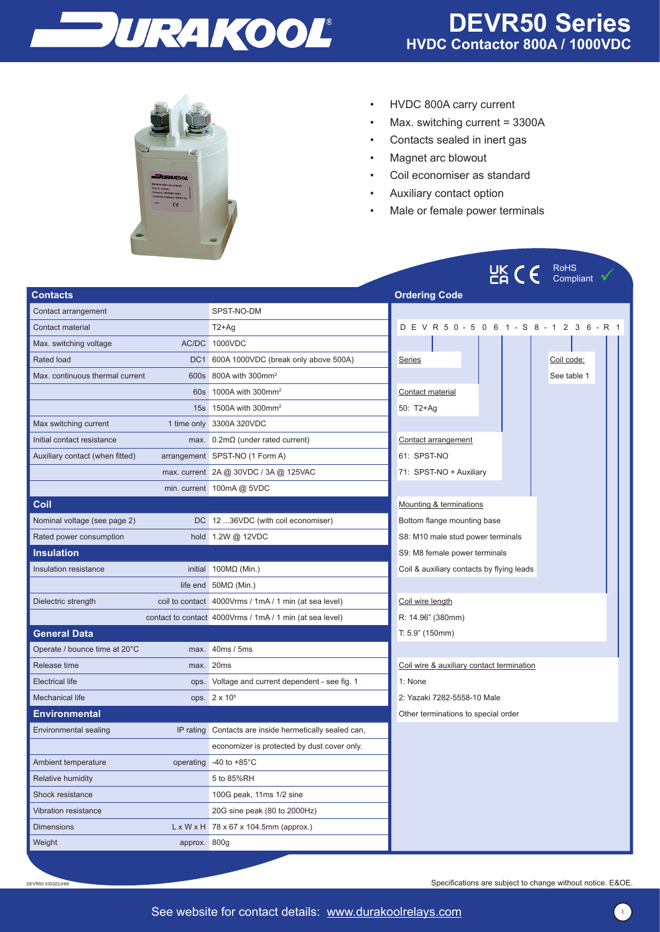



- HVDC 800A carry current
- Max. switching current = 3300A
- Contacts sealed in inert gas
- Magnet arc blowout
- Coil economiser as standard
- Auxiliary contact option
- Male or female power terminals

|                                 |              |                                                          |                                             | $C_{\mathsf{H}}^{\mathsf{UK}}$ ( $\epsilon_{-}$ |
|---------------------------------|--------------|----------------------------------------------------------|---------------------------------------------|-------------------------------------------------|
| <b>Contacts</b>                 |              |                                                          | <b>Ordering Code</b>                        |                                                 |
| Contact arrangement             |              | SPST-NO-DM                                               |                                             |                                                 |
| Contact material                |              | $T2+Ag$                                                  | D E V R 5 0 - 5 0 6 1 - S 8 - 1 2 3 6 - R 1 |                                                 |
| Max. switching voltage          |              | AC/DC 1000VDC                                            |                                             |                                                 |
| Rated load                      |              | DC1 600A 1000VDC (break only above 500A)                 | Series                                      |                                                 |
| Max. continuous thermal current |              | 600s 800A with 300mm <sup>2</sup>                        |                                             |                                                 |
|                                 |              | 60s   1000A with 300mm <sup>2</sup>                      | Contact material                            |                                                 |
|                                 |              | 15s 1500A with 300mm <sup>2</sup>                        | 50: T2+Ag                                   |                                                 |
| Max switching current           |              | 1 time only 3300A 320VDC                                 |                                             |                                                 |
| Initial contact resistance      |              | max. $0.2 \text{m}\Omega$ (under rated current)          | Contact arrangement                         |                                                 |
| Auxiliary contact (when fitted) |              | arrangement SPST-NO (1 Form A)                           | 61: SPST-NO                                 |                                                 |
|                                 |              | max. current 2A @ 30VDC / 3A @ 125VAC                    | 71: SPST-NO + Auxiliary                     |                                                 |
|                                 |              | min. current 100mA @ 5VDC                                |                                             |                                                 |
| Coil                            |              |                                                          | Mounting & terminations                     |                                                 |
| Nominal voltage (see page 2)    |              | DC 12 36VDC (with coil economiser)                       | Bottom flange mounting base                 |                                                 |
| Rated power consumption         |              | hold 1.2W @ 12VDC                                        | S8: M10 male stud power terminals           |                                                 |
| <b>Insulation</b>               |              |                                                          | S9: M8 female power terminals               |                                                 |
| Insulation resistance           |              | initial $100M\Omega$ (Min.)                              | Coil & auxiliary contacts by flying leads   |                                                 |
|                                 |              | life end $50M\Omega$ (Min.)                              |                                             |                                                 |
| Dielectric strength             |              | coil to contact 4000Vrms / 1mA / 1 min (at sea level)    | Coil wire length                            |                                                 |
|                                 |              | contact to contact 4000Vrms / 1mA / 1 min (at sea level) | R: 14.96" (380mm)                           |                                                 |
| <b>General Data</b>             |              |                                                          | T: 5.9" (150mm)                             |                                                 |
| Operate / bounce time at 20°C   |              | max. 40ms / 5ms                                          |                                             |                                                 |
| Release time                    |              | max. 20ms                                                | Coil wire & auxiliary contact termination   |                                                 |
| <b>Electrical life</b>          |              | ops. Voltage and current dependent - see fig. 1          | 1: None                                     |                                                 |
| <b>Mechanical life</b>          |              | ops. 2 x 10 <sup>5</sup>                                 | 2: Yazaki 7282-5558-10 Male                 |                                                 |
| <b>Environmental</b>            |              |                                                          | Other terminations to special order         |                                                 |
| Environmental sealing           |              | IP rating Contacts are inside hermetically sealed can,   |                                             |                                                 |
|                                 |              | economizer is protected by dust cover only.              |                                             |                                                 |
| Ambient temperature             |              | operating -40 to +85°C                                   |                                             |                                                 |
| <b>Relative humidity</b>        |              | 5 to 85%RH                                               |                                             |                                                 |
| Shock resistance                |              | 100G peak, 11ms 1/2 sine                                 |                                             |                                                 |
| Vibration resistance            |              | 20G sine peak (80 to 2000Hz)                             |                                             |                                                 |
| <b>Dimensions</b>               |              | $L \times W \times H$ 78 x 67 x 104.5mm (approx.)        |                                             |                                                 |
| Weight                          | approx. 800g |                                                          |                                             |                                                 |

Specifications are subject to change without notice. E&OE.

DEVR50 030322JHM